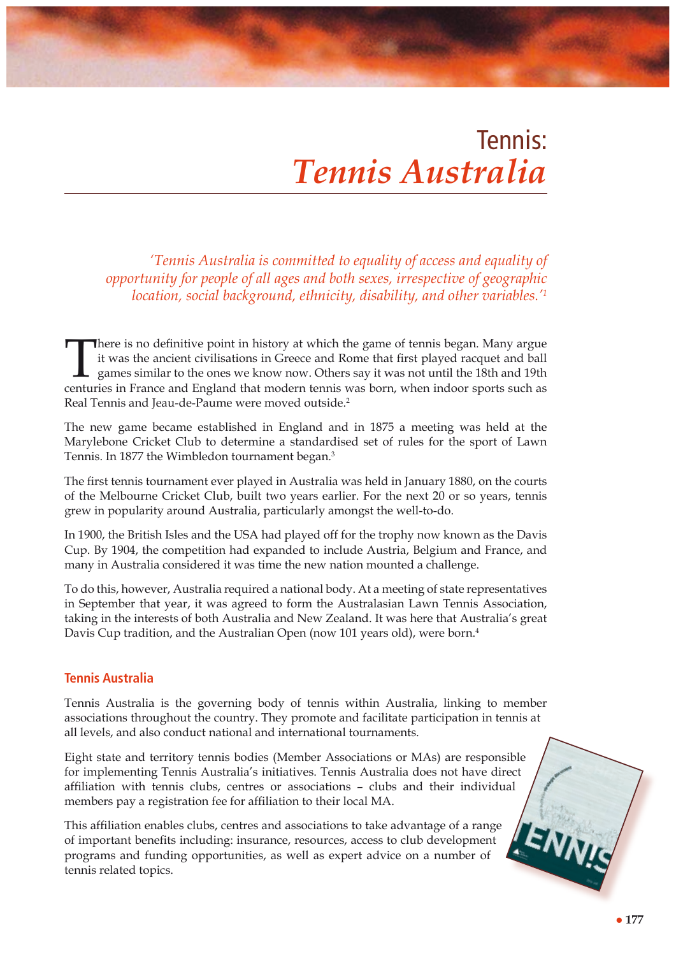# Tennis: *Tennis Australia*

*'Tennis Australia is committed to equality of access and equality of opportunity for people of all ages and both sexes, irrespective of geographic location, social background, ethnicity, disability, and other variables.'1*

There is no definitive point in history at which the game of tennis began. Many argue<br>it was the ancient civilisations in Greece and Rome that first played racquet and ball<br>games similar to the ones we know now. Others say it was the ancient civilisations in Greece and Rome that first played racquet and ball games similar to the ones we know now. Others say it was not until the 18th and 19th centuries in France and England that modern tennis was born, when indoor sports such as Real Tennis and Jeau-de-Paume were moved outside.<sup>2</sup>

The new game became established in England and in 1875 a meeting was held at the Marylebone Cricket Club to determine a standardised set of rules for the sport of Lawn Tennis. In 1877 the Wimbledon tournament began.<sup>3</sup>

The first tennis tournament ever played in Australia was held in January 1880, on the courts of the Melbourne Cricket Club, built two years earlier. For the next 20 or so years, tennis grew in popularity around Australia, particularly amongst the well-to-do.

In 1900, the British Isles and the USA had played off for the trophy now known as the Davis Cup. By 1904, the competition had expanded to include Austria, Belgium and France, and many in Australia considered it was time the new nation mounted a challenge.

To do this, however, Australia required a national body. At a meeting of state representatives in September that year, it was agreed to form the Australasian Lawn Tennis Association, taking in the interests of both Australia and New Zealand. It was here that Australia's great Davis Cup tradition, and the Australian Open (now 101 years old), were born.<sup>4</sup>

## **Tennis Australia**

Tennis Australia is the governing body of tennis within Australia, linking to member associations throughout the country. They promote and facilitate participation in tennis at all levels, and also conduct national and international tournaments.

Eight state and territory tennis bodies (Member Associations or MAs) are responsible for implementing Tennis Australia's initiatives. Tennis Australia does not have direct affiliation with tennis clubs, centres or associations – clubs and their individual members pay a registration fee for affiliation to their local MA.

This affiliation enables clubs, centres and associations to take advantage of a range of important benefits including: insurance, resources, access to club development programs and funding opportunities, as well as expert advice on a number of tennis related topics.

ENNIS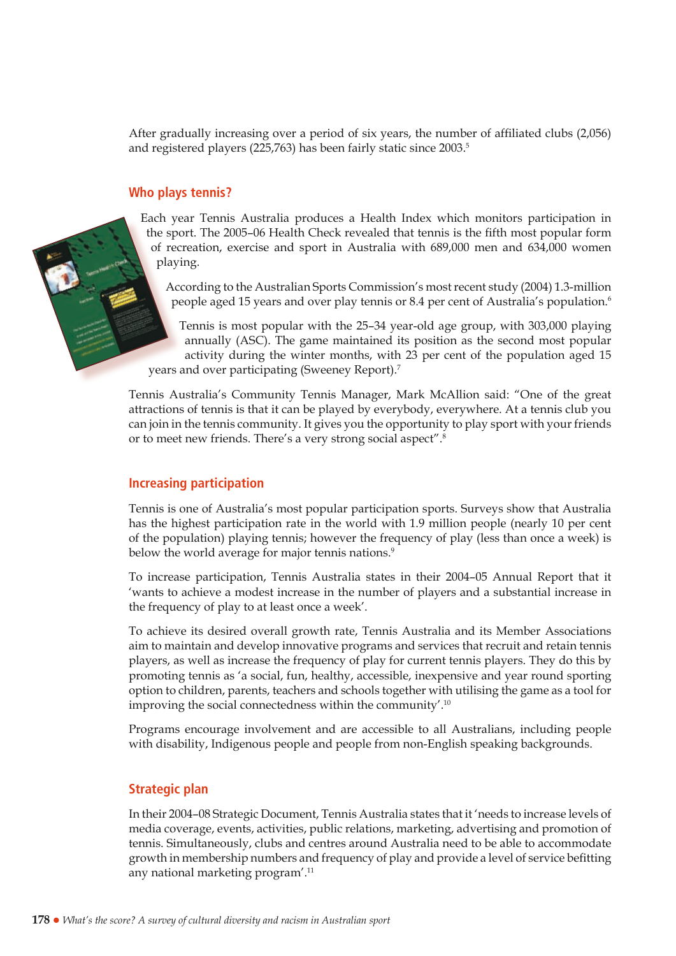After gradually increasing over a period of six years, the number of affiliated clubs (2,056) and registered players (225,763) has been fairly static since 2003.<sup>5</sup>

#### **Who plays tennis?**

Each year Tennis Australia produces a Health Index which monitors participation in the sport. The 2005–06 Health Check revealed that tennis is the fifth most popular form of recreation, exercise and sport in Australia with 689,000 men and 634,000 women playing.

According to the Australian Sports Commission's most recent study (2004) 1.3-million people aged 15 years and over play tennis or 8.4 per cent of Australia's population.<sup>6</sup>

Tennis is most popular with the 25–34 year-old age group, with 303,000 playing annually (ASC). The game maintained its position as the second most popular activity during the winter months, with 23 per cent of the population aged 15 years and over participating (Sweeney Report).7

Tennis Australia's Community Tennis Manager, Mark McAllion said: "One of the great attractions of tennis is that it can be played by everybody, everywhere. At a tennis club you can join in the tennis community. It gives you the opportunity to play sport with your friends or to meet new friends. There's a very strong social aspect".8

#### **Increasing participation**

Tennis is one of Australia's most popular participation sports. Surveys show that Australia has the highest participation rate in the world with 1.9 million people (nearly 10 per cent of the population) playing tennis; however the frequency of play (less than once a week) is below the world average for major tennis nations.<sup>9</sup>

To increase participation, Tennis Australia states in their 2004–05 Annual Report that it 'wants to achieve a modest increase in the number of players and a substantial increase in the frequency of play to at least once a week'.

To achieve its desired overall growth rate, Tennis Australia and its Member Associations aim to maintain and develop innovative programs and services that recruit and retain tennis players, as well as increase the frequency of play for current tennis players. They do this by promoting tennis as 'a social, fun, healthy, accessible, inexpensive and year round sporting option to children, parents, teachers and schools together with utilising the game as a tool for improving the social connectedness within the community'.10

Programs encourage involvement and are accessible to all Australians, including people with disability, Indigenous people and people from non-English speaking backgrounds.

## **Strategic plan**

In their 2004–08 Strategic Document, Tennis Australia states that it 'needs to increase levels of media coverage, events, activities, public relations, marketing, advertising and promotion of tennis. Simultaneously, clubs and centres around Australia need to be able to accommodate growth in membership numbers and frequency of play and provide a level of service befitting any national marketing program'.11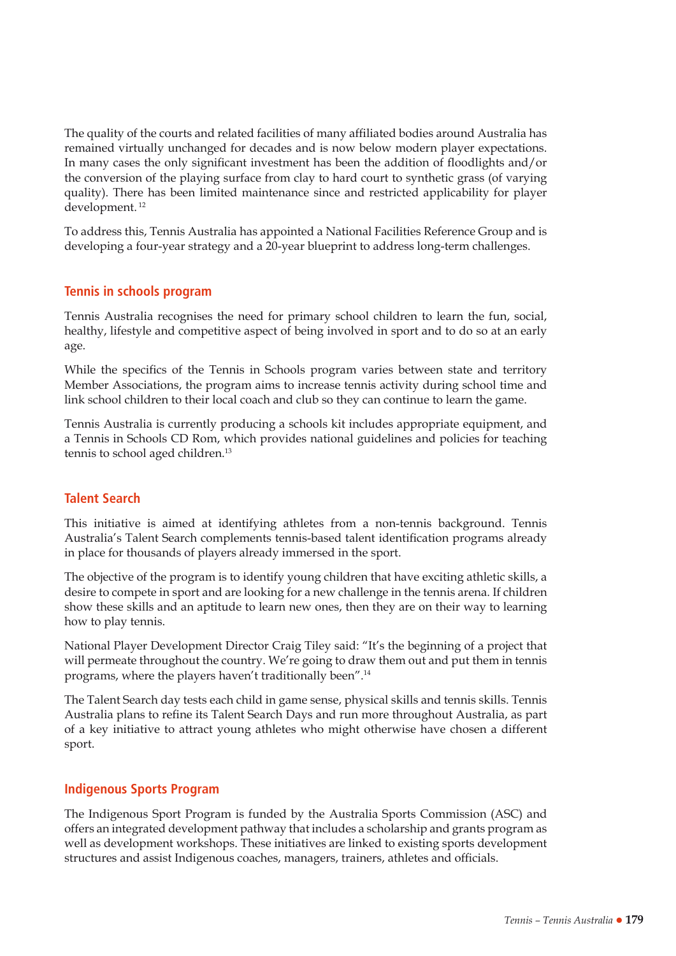The quality of the courts and related facilities of many affiliated bodies around Australia has remained virtually unchanged for decades and is now below modern player expectations. In many cases the only significant investment has been the addition of floodlights and/or the conversion of the playing surface from clay to hard court to synthetic grass (of varying quality). There has been limited maintenance since and restricted applicability for player development. 12

To address this, Tennis Australia has appointed a National Facilities Reference Group and is developing a four-year strategy and a 20-year blueprint to address long-term challenges.

# **Tennis in schools program**

Tennis Australia recognises the need for primary school children to learn the fun, social, healthy, lifestyle and competitive aspect of being involved in sport and to do so at an early age.

While the specifics of the Tennis in Schools program varies between state and territory Member Associations, the program aims to increase tennis activity during school time and link school children to their local coach and club so they can continue to learn the game.

Tennis Australia is currently producing a schools kit includes appropriate equipment, and a Tennis in Schools CD Rom, which provides national guidelines and policies for teaching tennis to school aged children.13

# **Talent Search**

This initiative is aimed at identifying athletes from a non-tennis background. Tennis Australia's Talent Search complements tennis-based talent identification programs already in place for thousands of players already immersed in the sport.

The objective of the program is to identify young children that have exciting athletic skills, a desire to compete in sport and are looking for a new challenge in the tennis arena. If children show these skills and an aptitude to learn new ones, then they are on their way to learning how to play tennis.

National Player Development Director Craig Tiley said: "It's the beginning of a project that will permeate throughout the country. We're going to draw them out and put them in tennis programs, where the players haven't traditionally been".14

The Talent Search day tests each child in game sense, physical skills and tennis skills. Tennis Australia plans to refine its Talent Search Days and run more throughout Australia, as part of a key initiative to attract young athletes who might otherwise have chosen a different sport.

## **Indigenous Sports Program**

The Indigenous Sport Program is funded by the Australia Sports Commission (ASC) and offers an integrated development pathway that includes a scholarship and grants program as well as development workshops. These initiatives are linked to existing sports development structures and assist Indigenous coaches, managers, trainers, athletes and officials.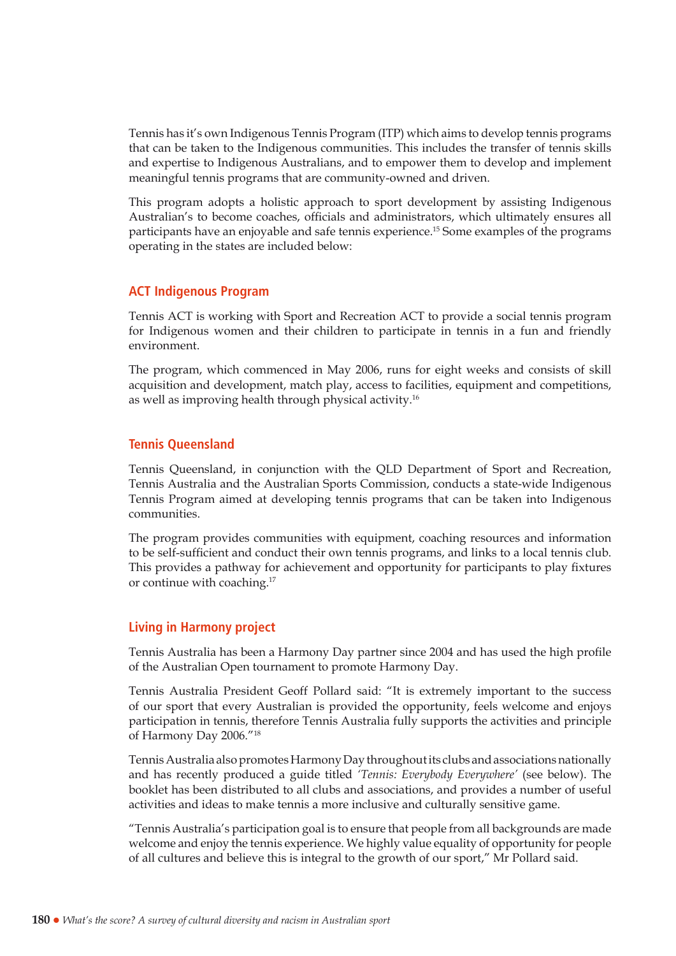Tennis has it's own Indigenous Tennis Program (ITP) which aims to develop tennis programs that can be taken to the Indigenous communities. This includes the transfer of tennis skills and expertise to Indigenous Australians, and to empower them to develop and implement meaningful tennis programs that are community-owned and driven.

This program adopts a holistic approach to sport development by assisting Indigenous Australian's to become coaches, officials and administrators, which ultimately ensures all participants have an enjoyable and safe tennis experience.15 Some examples of the programs operating in the states are included below:

#### **ACT Indigenous Program**

Tennis ACT is working with Sport and Recreation ACT to provide a social tennis program for Indigenous women and their children to participate in tennis in a fun and friendly environment.

The program, which commenced in May 2006, runs for eight weeks and consists of skill acquisition and development, match play, access to facilities, equipment and competitions, as well as improving health through physical activity.16

#### **Tennis Queensland**

Tennis Queensland, in conjunction with the QLD Department of Sport and Recreation, Tennis Australia and the Australian Sports Commission, conducts a state-wide Indigenous Tennis Program aimed at developing tennis programs that can be taken into Indigenous communities.

The program provides communities with equipment, coaching resources and information to be self-sufficient and conduct their own tennis programs, and links to a local tennis club. This provides a pathway for achievement and opportunity for participants to play fixtures or continue with coaching.17

## **Living in Harmony project**

Tennis Australia has been a Harmony Day partner since 2004 and has used the high profile of the Australian Open tournament to promote Harmony Day.

Tennis Australia President Geoff Pollard said: "It is extremely important to the success of our sport that every Australian is provided the opportunity, feels welcome and enjoys participation in tennis, therefore Tennis Australia fully supports the activities and principle of Harmony Day 2006."18

Tennis Australia also promotes Harmony Day throughout its clubs and associations nationally and has recently produced a guide titled *'Tennis: Everybody Everywhere'* (see below). The booklet has been distributed to all clubs and associations, and provides a number of useful activities and ideas to make tennis a more inclusive and culturally sensitive game.

"Tennis Australia's participation goal is to ensure that people from all backgrounds are made welcome and enjoy the tennis experience. We highly value equality of opportunity for people of all cultures and believe this is integral to the growth of our sport," Mr Pollard said.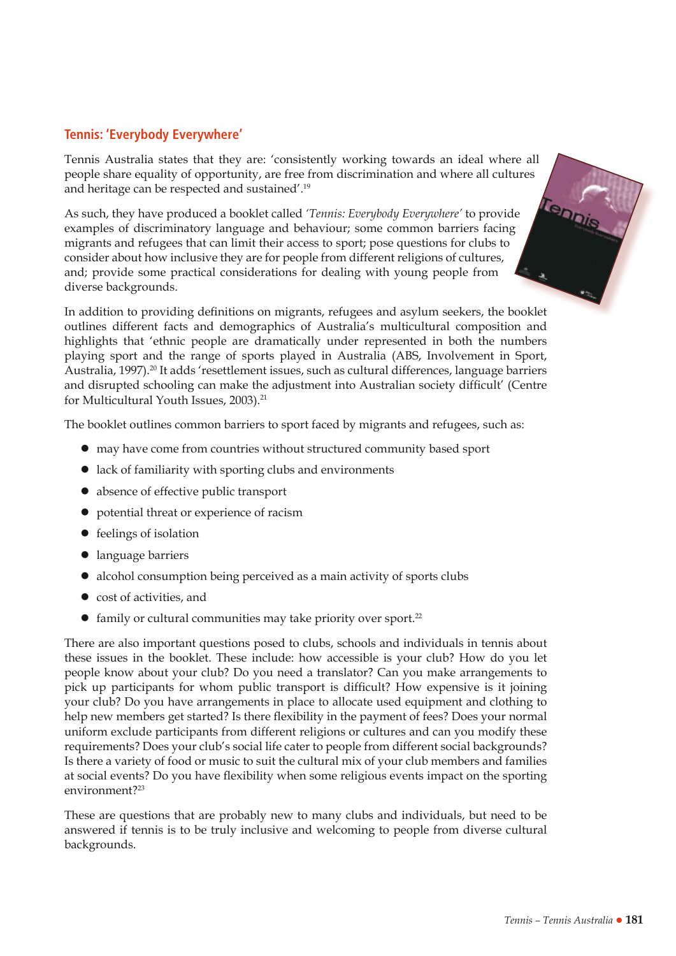# **Tennis: 'Everybody Everywhere'**

Tennis Australia states that they are: 'consistently working towards an ideal where all people share equality of opportunity, are free from discrimination and where all cultures and heritage can be respected and sustained'.19 Tenpis

As such, they have produced a booklet called *'Tennis: Everybody Everywhere'* to provide examples of discriminatory language and behaviour; some common barriers facing migrants and refugees that can limit their access to sport; pose questions for clubs to consider about how inclusive they are for people from different religions of cultures, and; provide some practical considerations for dealing with young people from diverse backgrounds.

In addition to providing definitions on migrants, refugees and asylum seekers, the booklet outlines different facts and demographics of Australia's multicultural composition and highlights that 'ethnic people are dramatically under represented in both the numbers playing sport and the range of sports played in Australia (ABS, Involvement in Sport, Australia, 1997).<sup>20</sup> It adds 'resettlement issues, such as cultural differences, language barriers and disrupted schooling can make the adjustment into Australian society difficult' (Centre for Multicultural Youth Issues, 2003).<sup>21</sup>

The booklet outlines common barriers to sport faced by migrants and refugees, such as:

- $\bullet$  may have come from countries without structured community based sport
- $\bullet$  lack of familiarity with sporting clubs and environments
- $\bullet$  absence of effective public transport
- $\bullet$  potential threat or experience of racism
- $\bullet$  feelings of isolation
- language barriers
- alcohol consumption being perceived as a main activity of sports clubs
- $\bullet$  cost of activities, and
- $\bullet$  family or cultural communities may take priority over sport.<sup>22</sup>

There are also important questions posed to clubs, schools and individuals in tennis about these issues in the booklet. These include: how accessible is your club? How do you let people know about your club? Do you need a translator? Can you make arrangements to pick up participants for whom public transport is difficult? How expensive is it joining your club? Do you have arrangements in place to allocate used equipment and clothing to help new members get started? Is there flexibility in the payment of fees? Does your normal uniform exclude participants from different religions or cultures and can you modify these requirements? Does your club's social life cater to people from different social backgrounds? Is there a variety of food or music to suit the cultural mix of your club members and families at social events? Do you have flexibility when some religious events impact on the sporting environment?<sup>23</sup>

These are questions that are probably new to many clubs and individuals, but need to be answered if tennis is to be truly inclusive and welcoming to people from diverse cultural backgrounds.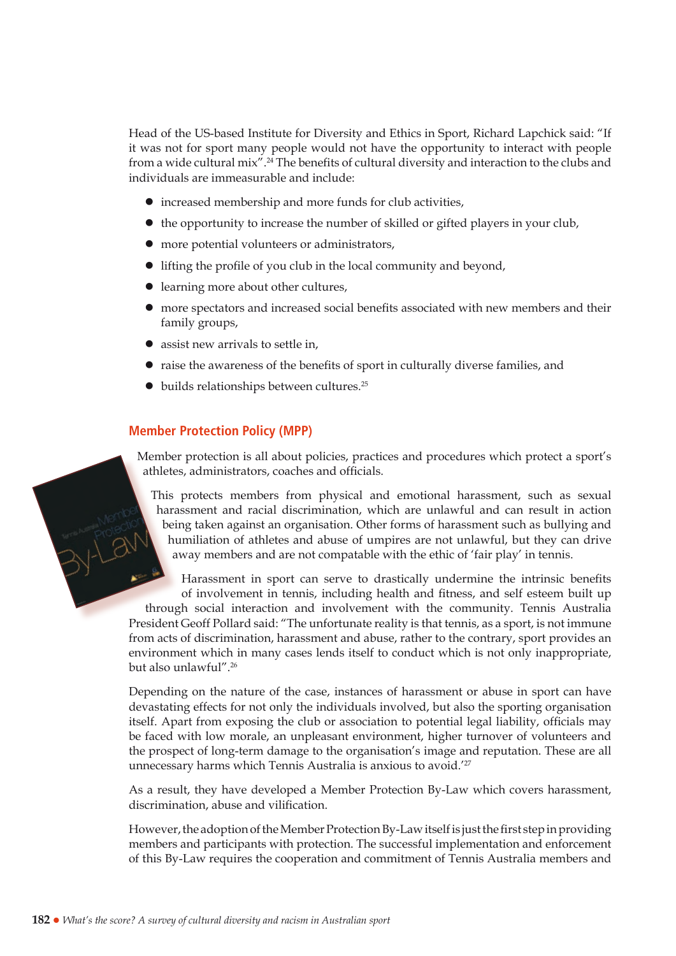Head of the US-based Institute for Diversity and Ethics in Sport, Richard Lapchick said: "If it was not for sport many people would not have the opportunity to interact with people from a wide cultural mix".<sup>24</sup> The benefits of cultural diversity and interaction to the clubs and individuals are immeasurable and include:

- $\bullet$  increased membership and more funds for club activities,
- $\bullet$  the opportunity to increase the number of skilled or gifted players in your club,
- $\bullet$  more potential volunteers or administrators,
- $\bullet$  lifting the profile of you club in the local community and beyond,
- $\bullet$  learning more about other cultures,
- $\bullet$  more spectators and increased social benefits associated with new members and their family groups,
- $\bullet$  assist new arrivals to settle in,
- $\bullet$  raise the awareness of the benefits of sport in culturally diverse families, and
- $\bullet$  builds relationships between cultures.<sup>25</sup>

## **Member Protection Policy (MPP)**

Member protection is all about policies, practices and procedures which protect a sport's athletes, administrators, coaches and officials.

This protects members from physical and emotional harassment, such as sexual harassment and racial discrimination, which are unlawful and can result in action being taken against an organisation. Other forms of harassment such as bullying and humiliation of athletes and abuse of umpires are not unlawful, but they can drive away members and are not compatable with the ethic of 'fair play' in tennis.

Harassment in sport can serve to drastically undermine the intrinsic benefits of involvement in tennis, including health and fitness, and self esteem built up through social interaction and involvement with the community. Tennis Australia President Geoff Pollard said: "The unfortunate reality is that tennis, as a sport, is not immune from acts of discrimination, harassment and abuse, rather to the contrary, sport provides an environment which in many cases lends itself to conduct which is not only inappropriate, but also unlawful".26

Depending on the nature of the case, instances of harassment or abuse in sport can have devastating effects for not only the individuals involved, but also the sporting organisation itself. Apart from exposing the club or association to potential legal liability, officials may be faced with low morale, an unpleasant environment, higher turnover of volunteers and the prospect of long-term damage to the organisation's image and reputation. These are all unnecessary harms which Tennis Australia is anxious to avoid.'27

As a result, they have developed a Member Protection By-Law which covers harassment, discrimination, abuse and vilification.

However, the adoption of the Member Protection By-Law itself is just the first step in providing members and participants with protection. The successful implementation and enforcement of this By-Law requires the cooperation and commitment of Tennis Australia members and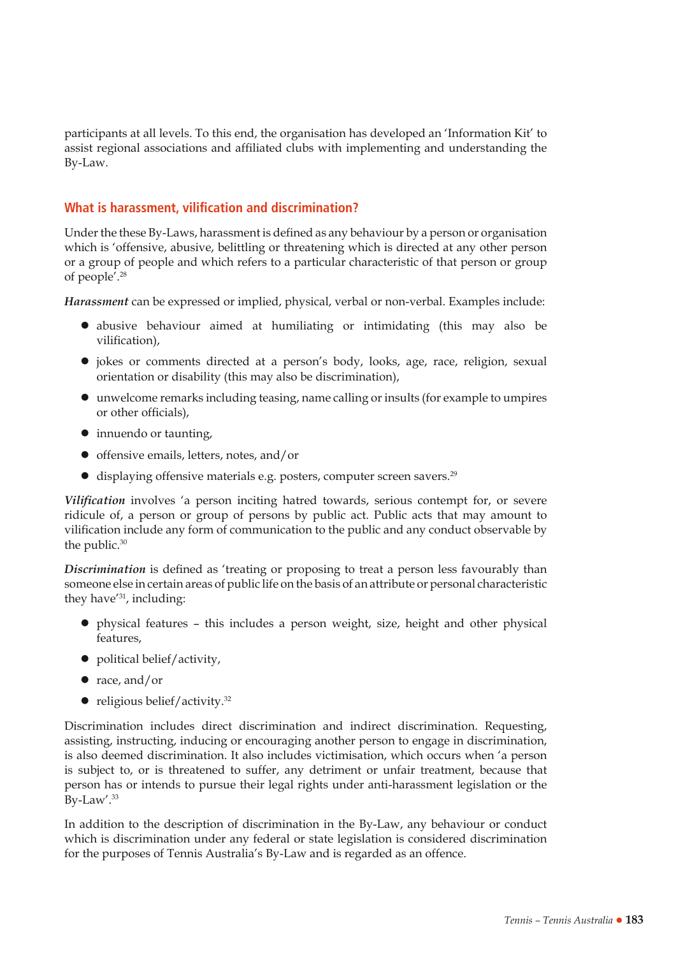participants at all levels. To this end, the organisation has developed an 'Information Kit' to assist regional associations and affiliated clubs with implementing and understanding the By-Law.

# **What is harassment, vilification and discrimination?**

Under the these By-Laws, harassment is defined as any behaviour by a person or organisation which is 'offensive, abusive, belittling or threatening which is directed at any other person or a group of people and which refers to a particular characteristic of that person or group of people'.28

*Harassment* can be expressed or implied, physical, verbal or non-verbal. Examples include:

- abusive behaviour aimed at humiliating or intimidating (this may also be vilification),
- jokes or comments directed at a person's body, looks, age, race, religion, sexual orientation or disability (this may also be discrimination),
- $\bullet$  unwelcome remarks including teasing, name calling or insults (for example to umpires or other officials),
- $\bullet$  innuendo or taunting,
- $\bullet$  offensive emails, letters, notes, and/or
- $\bullet$  displaying offensive materials e.g. posters, computer screen savers.<sup>29</sup>

*Vilification* involves 'a person inciting hatred towards, serious contempt for, or severe ridicule of, a person or group of persons by public act. Public acts that may amount to vilification include any form of communication to the public and any conduct observable by the public.<sup>30</sup>

*Discrimination* is defined as 'treating or proposing to treat a person less favourably than someone else in certain areas of public life on the basis of an attribute or personal characteristic they have'31, including:

- $\bullet$  physical features this includes a person weight, size, height and other physical features,
- $\bullet$  political belief/activity,
- $\bullet$  race, and/or
- $\bullet$  religious belief/activity.<sup>32</sup>

Discrimination includes direct discrimination and indirect discrimination. Requesting, assisting, instructing, inducing or encouraging another person to engage in discrimination, is also deemed discrimination. It also includes victimisation, which occurs when 'a person is subject to, or is threatened to suffer, any detriment or unfair treatment, because that person has or intends to pursue their legal rights under anti-harassment legislation or the By-Law'.<sup>33</sup>

In addition to the description of discrimination in the By-Law, any behaviour or conduct which is discrimination under any federal or state legislation is considered discrimination for the purposes of Tennis Australia's By-Law and is regarded as an offence.